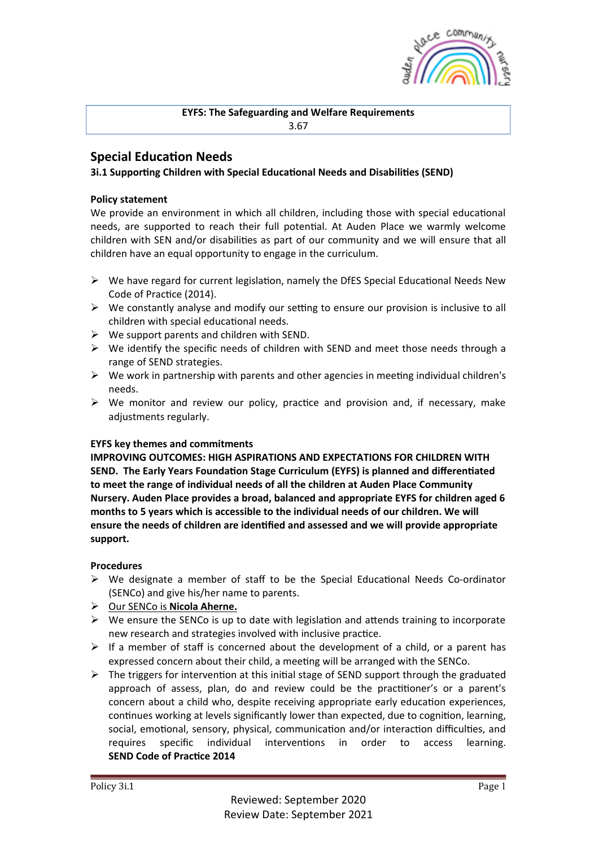

**EYFS: The Safeguarding and Welfare Requirements** 3.67

# **Special Education Needs**

## **3i.1 Supporting Children with Special Educational Needs and Disabilities (SEND)**

## **Policy statement**

We provide an environment in which all children, including those with special educational needs, are supported to reach their full potential. At Auden Place we warmly welcome children with SEN and/or disabilities as part of our community and we will ensure that all children have an equal opportunity to engage in the curriculum.

- $\triangleright$  We have regard for current legislation, namely the DfES Special Educational Needs New Code of Practice (2014).
- $\triangleright$  We constantly analyse and modify our setting to ensure our provision is inclusive to all children with special educational needs.
- $\triangleright$  We support parents and children with SEND.
- $\triangleright$  We identify the specific needs of children with SEND and meet those needs through a range of SEND strategies.
- $\triangleright$  We work in partnership with parents and other agencies in meeting individual children's needs.
- $\triangleright$  We monitor and review our policy, practice and provision and, if necessary, make adjustments regularly.

### **EYFS key themes and commitments**

**IMPROVING OUTCOMES: HIGH ASPIRATIONS AND EXPECTATIONS FOR CHILDREN WITH SEND.** The Early Years Foundation Stage Curriculum (EYFS) is planned and differentiated to meet the range of individual needs of all the children at Auden Place Community Nursery. Auden Place provides a broad, balanced and appropriate EYFS for children aged 6 months to 5 years which is accessible to the individual needs of our children. We will ensure the needs of children are identified and assessed and we will provide appropriate **support.**

### **Procedures**

- $\triangleright$  We designate a member of staff to be the Special Educational Needs Co-ordinator (SENCo) and give his/her name to parents.
- **▷** Our SENCo is **Nicola Aherne.**
- $\triangleright$  We ensure the SENCo is up to date with legislation and attends training to incorporate new research and strategies involved with inclusive practice.
- $\triangleright$  If a member of staff is concerned about the development of a child, or a parent has expressed concern about their child, a meeting will be arranged with the SENCo.
- $\triangleright$  The triggers for intervention at this initial stage of SEND support through the graduated approach of assess, plan, do and review could be the practitioner's or a parent's concern about a child who, despite receiving appropriate early education experiences, continues working at levels significantly lower than expected, due to cognition, learning, social, emotional, sensory, physical, communication and/or interaction difficulties, and requires specific individual interventions in order to access learning. **SEND Code of Practice 2014**